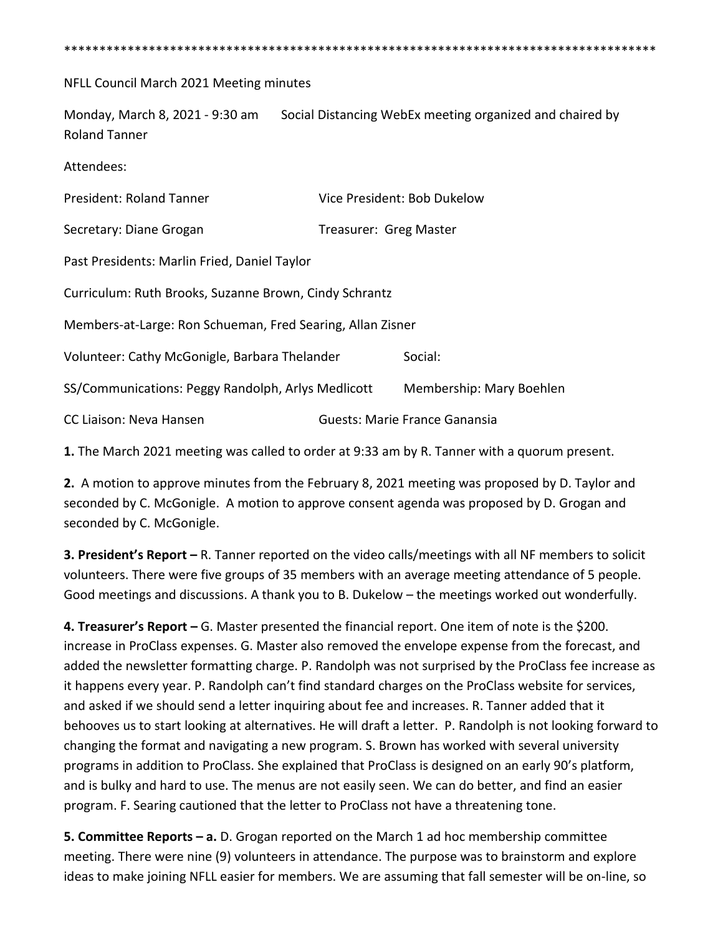\*\*\*\*\*\*\*\*\*\*\*\*\*\*\*\*\*\*\*\*\*\*\*\*\*\*\*\*\*\*\*\*\*\*\*\*\*\*\*\*\*\*\*\*\*\*\*\*\*\*\*\*\*\*\*\*\*\*\*\*\*\*\*\*\*\*\*\*\*\*\*\*\*\*\*\*\*\*\*\*\*\*\*\*

NFLL Council March 2021 Meeting minutes

Monday, March 8, 2021 - 9:30 am Social Distancing WebEx meeting organized and chaired by Roland Tanner

Attendees:

| <b>President: Roland Tanner</b>                            | Vice President: Bob Dukelow   |                          |
|------------------------------------------------------------|-------------------------------|--------------------------|
| Secretary: Diane Grogan                                    | Treasurer: Greg Master        |                          |
| Past Presidents: Marlin Fried, Daniel Taylor               |                               |                          |
| Curriculum: Ruth Brooks, Suzanne Brown, Cindy Schrantz     |                               |                          |
| Members-at-Large: Ron Schueman, Fred Searing, Allan Zisner |                               |                          |
| Volunteer: Cathy McGonigle, Barbara Thelander              |                               | Social:                  |
| SS/Communications: Peggy Randolph, Arlys Medlicott         |                               | Membership: Mary Boehlen |
| CC Liaison: Neva Hansen                                    | Guests: Marie France Ganansia |                          |

**1.** The March 2021 meeting was called to order at 9:33 am by R. Tanner with a quorum present.

**2.** A motion to approve minutes from the February 8, 2021 meeting was proposed by D. Taylor and seconded by C. McGonigle. A motion to approve consent agenda was proposed by D. Grogan and seconded by C. McGonigle.

**3. President's Report –** R. Tanner reported on the video calls/meetings with all NF members to solicit volunteers. There were five groups of 35 members with an average meeting attendance of 5 people. Good meetings and discussions. A thank you to B. Dukelow – the meetings worked out wonderfully.

**4. Treasurer's Report –** G. Master presented the financial report. One item of note is the \$200. increase in ProClass expenses. G. Master also removed the envelope expense from the forecast, and added the newsletter formatting charge. P. Randolph was not surprised by the ProClass fee increase as it happens every year. P. Randolph can't find standard charges on the ProClass website for services, and asked if we should send a letter inquiring about fee and increases. R. Tanner added that it behooves us to start looking at alternatives. He will draft a letter. P. Randolph is not looking forward to changing the format and navigating a new program. S. Brown has worked with several university programs in addition to ProClass. She explained that ProClass is designed on an early 90's platform, and is bulky and hard to use. The menus are not easily seen. We can do better, and find an easier program. F. Searing cautioned that the letter to ProClass not have a threatening tone.

**5. Committee Reports – a.** D. Grogan reported on the March 1 ad hoc membership committee meeting. There were nine (9) volunteers in attendance. The purpose was to brainstorm and explore ideas to make joining NFLL easier for members. We are assuming that fall semester will be on-line, so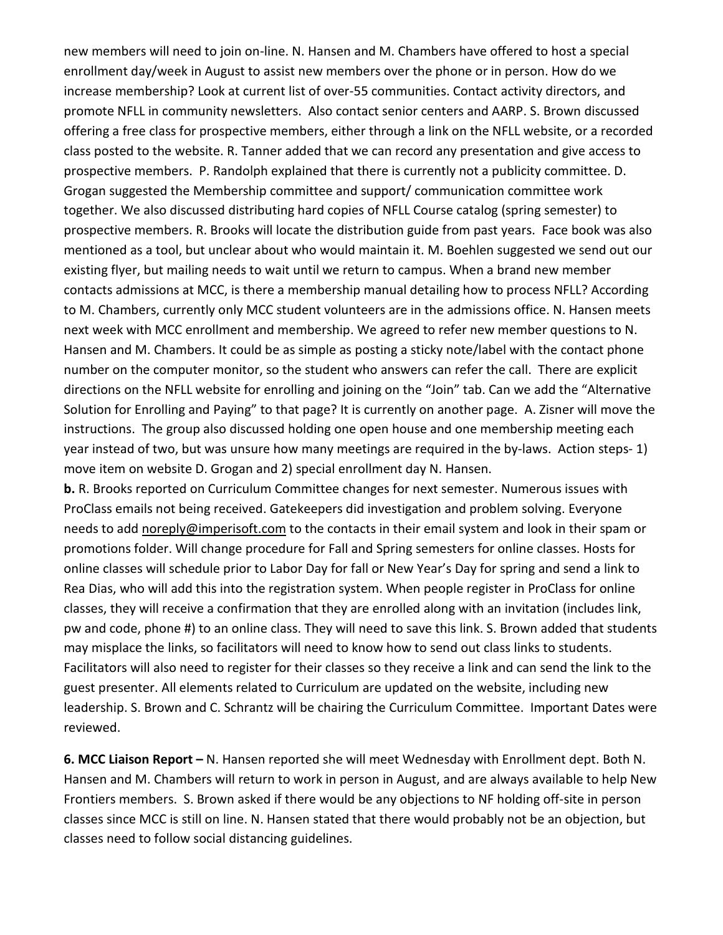new members will need to join on-line. N. Hansen and M. Chambers have offered to host a special enrollment day/week in August to assist new members over the phone or in person. How do we increase membership? Look at current list of over-55 communities. Contact activity directors, and promote NFLL in community newsletters. Also contact senior centers and AARP. S. Brown discussed offering a free class for prospective members, either through a link on the NFLL website, or a recorded class posted to the website. R. Tanner added that we can record any presentation and give access to prospective members. P. Randolph explained that there is currently not a publicity committee. D. Grogan suggested the Membership committee and support/ communication committee work together. We also discussed distributing hard copies of NFLL Course catalog (spring semester) to prospective members. R. Brooks will locate the distribution guide from past years. Face book was also mentioned as a tool, but unclear about who would maintain it. M. Boehlen suggested we send out our existing flyer, but mailing needs to wait until we return to campus. When a brand new member contacts admissions at MCC, is there a membership manual detailing how to process NFLL? According to M. Chambers, currently only MCC student volunteers are in the admissions office. N. Hansen meets next week with MCC enrollment and membership. We agreed to refer new member questions to N. Hansen and M. Chambers. It could be as simple as posting a sticky note/label with the contact phone number on the computer monitor, so the student who answers can refer the call. There are explicit directions on the NFLL website for enrolling and joining on the "Join" tab. Can we add the "Alternative Solution for Enrolling and Paying" to that page? It is currently on another page. A. Zisner will move the instructions. The group also discussed holding one open house and one membership meeting each year instead of two, but was unsure how many meetings are required in the by-laws. Action steps- 1) move item on website D. Grogan and 2) special enrollment day N. Hansen.

**b.** R. Brooks reported on Curriculum Committee changes for next semester. Numerous issues with ProClass emails not being received. Gatekeepers did investigation and problem solving. Everyone needs to add [noreply@imperisoft.com](mailto:noreply@imperisoft.com) to the contacts in their email system and look in their spam or promotions folder. Will change procedure for Fall and Spring semesters for online classes. Hosts for online classes will schedule prior to Labor Day for fall or New Year's Day for spring and send a link to Rea Dias, who will add this into the registration system. When people register in ProClass for online classes, they will receive a confirmation that they are enrolled along with an invitation (includes link, pw and code, phone #) to an online class. They will need to save this link. S. Brown added that students may misplace the links, so facilitators will need to know how to send out class links to students. Facilitators will also need to register for their classes so they receive a link and can send the link to the guest presenter. All elements related to Curriculum are updated on the website, including new leadership. S. Brown and C. Schrantz will be chairing the Curriculum Committee. Important Dates were reviewed.

**6. MCC Liaison Report –** N. Hansen reported she will meet Wednesday with Enrollment dept. Both N. Hansen and M. Chambers will return to work in person in August, and are always available to help New Frontiers members. S. Brown asked if there would be any objections to NF holding off-site in person classes since MCC is still on line. N. Hansen stated that there would probably not be an objection, but classes need to follow social distancing guidelines.